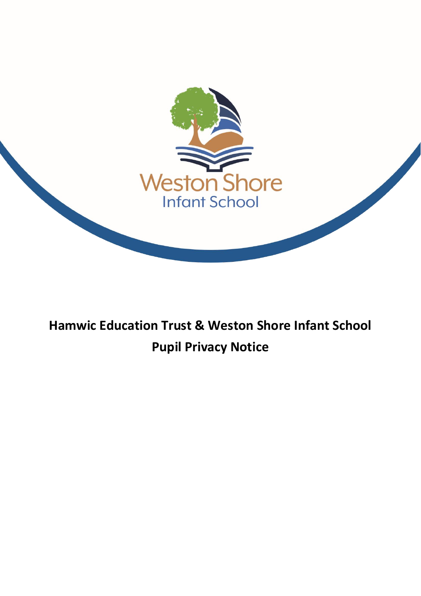

# **Hamwic Education Trust & Weston Shore Infant School Pupil Privacy Notice**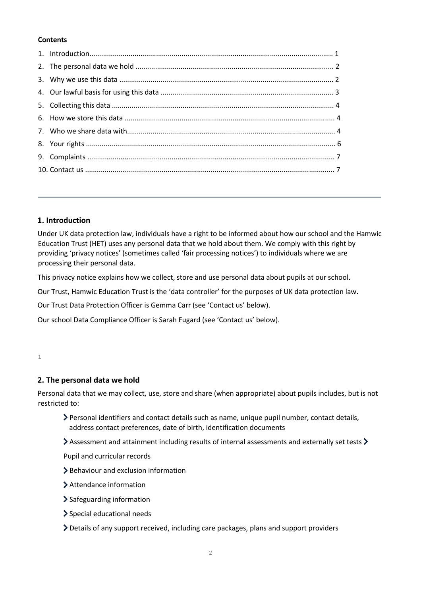### **Contents**

### **1. Introduction**

Under UK data protection law, individuals have a right to be informed about how our school and the Hamwic Education Trust (HET) uses any personal data that we hold about them. We comply with this right by providing 'privacy notices' (sometimes called 'fair processing notices') to individuals where we are processing their personal data.

This privacy notice explains how we collect, store and use personal data about pupils at our school.

Our Trust, Hamwic Education Trust is the 'data controller' for the purposes of UK data protection law.

Our Trust Data Protection Officer is Gemma Carr (see 'Contact us' below).

Our school Data Compliance Officer is Sarah Fugard (see 'Contact us' below).

1

## **2. The personal data we hold**

Personal data that we may collect, use, store and share (when appropriate) about pupils includes, but is not restricted to:

- Personal identifiers and contact details such as name, unique pupil number, contact details, address contact preferences, date of birth, identification documents
- $\geq$  Assessment and attainment including results of internal assessments and externally set tests  $\geq$

Pupil and curricular records

- > Behaviour and exclusion information
- Attendance information
- > Safeguarding information
- Special educational needs
- Details of any support received, including care packages, plans and support providers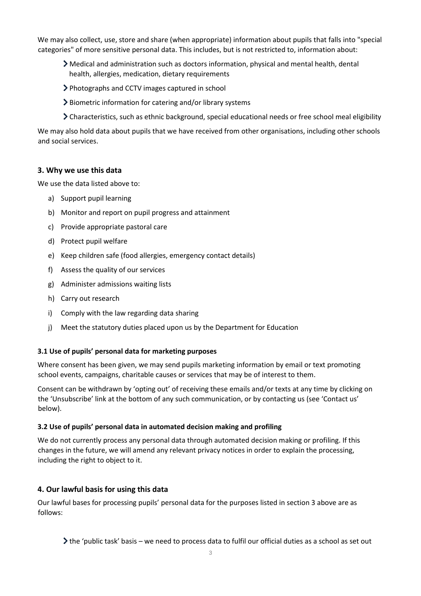We may also collect, use, store and share (when appropriate) information about pupils that falls into "special categories" of more sensitive personal data. This includes, but is not restricted to, information about:

- Medical and administration such as doctors information, physical and mental health, dental health, allergies, medication, dietary requirements
- Photographs and CCTV images captured in school
- Biometric information for catering and/or library systems
- Characteristics, such as ethnic background, special educational needs or free school meal eligibility

We may also hold data about pupils that we have received from other organisations, including other schools and social services.

## **3. Why we use this data**

We use the data listed above to:

- a) Support pupil learning
- b) Monitor and report on pupil progress and attainment
- c) Provide appropriate pastoral care
- d) Protect pupil welfare
- e) Keep children safe (food allergies, emergency contact details)
- f) Assess the quality of our services
- g) Administer admissions waiting lists
- h) Carry out research
- i) Comply with the law regarding data sharing
- j) Meet the statutory duties placed upon us by the Department for Education

## **3.1 Use of pupils' personal data for marketing purposes**

Where consent has been given, we may send pupils marketing information by email or text promoting school events, campaigns, charitable causes or services that may be of interest to them.

Consent can be withdrawn by 'opting out' of receiving these emails and/or texts at any time by clicking on the 'Unsubscribe' link at the bottom of any such communication, or by contacting us (see 'Contact us' below).

## **3.2 Use of pupils' personal data in automated decision making and profiling**

We do not currently process any personal data through automated decision making or profiling. If this changes in the future, we will amend any relevant privacy notices in order to explain the processing, including the right to object to it.

## **4. Our lawful basis for using this data**

Our lawful bases for processing pupils' personal data for the purposes listed in section 3 above are as follows:

the 'public task' basis – we need to process data to fulfil our official duties as a school as set out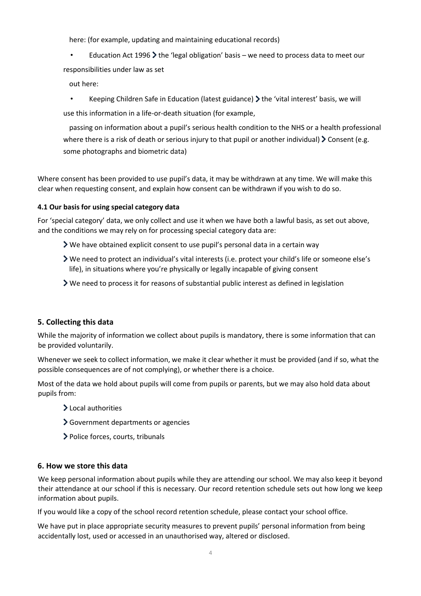here: (for example, updating and maintaining educational records)

Education Act 1996  $\blacktriangleright$  the 'legal obligation' basis – we need to process data to meet our responsibilities under law as set

out here:

Keeping Children Safe in Education (latest guidance)  $\blacktriangleright$  the 'vital interest' basis, we will use this information in a life-or-death situation (for example,

passing on information about a pupil's serious health condition to the NHS or a health professional where there is a risk of death or serious injury to that pupil or another individual)  $\geq$  Consent (e.g. some photographs and biometric data)

Where consent has been provided to use pupil's data, it may be withdrawn at any time. We will make this clear when requesting consent, and explain how consent can be withdrawn if you wish to do so.

## **4.1 Our basis for using special category data**

For 'special category' data, we only collect and use it when we have both a lawful basis, as set out above, and the conditions we may rely on for processing special category data are:

- We have obtained explicit consent to use pupil's personal data in a certain way
- We need to protect an individual's vital interests (i.e. protect your child's life or someone else's life), in situations where you're physically or legally incapable of giving consent
- $\triangleright$  We need to process it for reasons of substantial public interest as defined in legislation

## **5. Collecting this data**

While the majority of information we collect about pupils is mandatory, there is some information that can be provided voluntarily.

Whenever we seek to collect information, we make it clear whether it must be provided (and if so, what the possible consequences are of not complying), or whether there is a choice.

Most of the data we hold about pupils will come from pupils or parents, but we may also hold data about pupils from:

- Local authorities
- Government departments or agencies
- > Police forces, courts, tribunals

#### **6. How we store this data**

We keep personal information about pupils while they are attending our school. We may also keep it beyond their attendance at our school if this is necessary. Our record retention schedule sets out how long we keep information about pupils.

If you would like a copy of the school record retention schedule, please contact your school office.

We have put in place appropriate security measures to prevent pupils' personal information from being accidentally lost, used or accessed in an unauthorised way, altered or disclosed.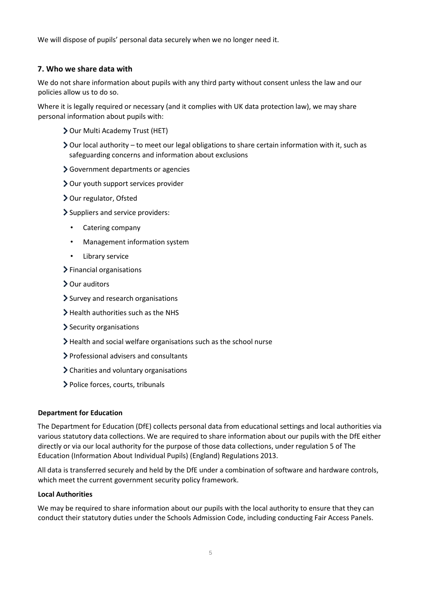We will dispose of pupils' personal data securely when we no longer need it.

## **7. Who we share data with**

We do not share information about pupils with any third party without consent unless the law and our policies allow us to do so.

Where it is legally required or necessary (and it complies with UK data protection law), we may share personal information about pupils with:

- Our Multi Academy Trust (HET)
- $\geq$  Our local authority to meet our legal obligations to share certain information with it, such as safeguarding concerns and information about exclusions
- Sovernment departments or agencies
- Our youth support services provider
- > Our regulator, Ofsted
- Suppliers and service providers:
	- Catering company
	- Management information system
	- Library service
- $\blacktriangleright$  Financial organisations
- Our auditors
- > Survey and research organisations
- $\blacktriangleright$  Health authorities such as the NHS
- $\blacktriangleright$  Security organisations
- $\blacktriangleright$  Health and social welfare organisations such as the school nurse
- Professional advisers and consultants
- Charities and voluntary organisations
- > Police forces, courts, tribunals

#### **Department for Education**

The Department for Education (DfE) collects personal data from educational settings and local authorities via various statutory data collections. We are required to share information about our pupils with the DfE either directly or via our local authority for the purpose of those data collections, under regulation 5 of The Education (Information About Individual Pupils) (England) Regulations 2013.

All data is transferred securely and held by the DfE under a combination of software and hardware controls, which meet the current government security policy framework.

#### **Local Authorities**

We may be required to share information about our pupils with the local authority to ensure that they can conduct their statutory duties under the Schools Admission Code, including conducting Fair Access Panels.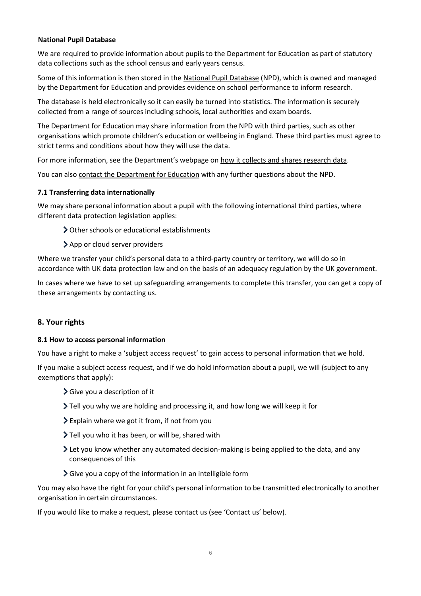### **National Pupil Database**

We are required to provide information about pupils to the Department for Education as part of statutory data collections such as the school census and early years census.

Some of this information is then stored in the [National Pupil Database](https://www.gov.uk/government/collections/national-pupil-database) [\(](https://www.gov.uk/government/collections/national-pupil-database)NPD), which is owned and managed by the Department for Education and provides evidence on school performance to inform research.

The database is held electronically so it can easily be turned into statistics. The information is securely collected from a range of sources including schools, local authorities and exam boards.

The Department for Education may share information from the NPD with third parties, such as other organisations which promote children's education or wellbeing in England. These third parties must agree to strict terms and conditions about how they will use the data.

For more information, see the Department's webpage on [how it collects and shares research data.](https://www.gov.uk/data-protection-how-we-collect-and-share-research-data)

You can also [contact the Department for Education](https://www.gov.uk/contact-dfe) with any further questions about the NPD.

#### **7.1 Transferring data internationally**

We may share personal information about a pupil with the following international third parties, where different data protection legislation applies:

Other schools or educational establishments

> App or cloud server providers

Where we transfer your child's personal data to a third-party country or territory, we will do so in accordance with UK data protection law and on the basis of an adequacy regulation by the UK government.

In cases where we have to set up safeguarding arrangements to complete this transfer, you can get a copy of these arrangements by contacting us.

#### **8. Your rights**

#### **8.1 How to access personal information**

You have a right to make a 'subject access request' to gain access to personal information that we hold.

If you make a subject access request, and if we do hold information about a pupil, we will (subject to any exemptions that apply):

- Give you a description of it
- Tell you why we are holding and processing it, and how long we will keep it for
- Explain where we got it from, if not from you
- Tell you who it has been, or will be, shared with
- Let you know whether any automated decision-making is being applied to the data, and any consequences of this
- Give you a copy of the information in an intelligible form

You may also have the right for your child's personal information to be transmitted electronically to another organisation in certain circumstances.

If you would like to make a request, please contact us (see 'Contact us' below).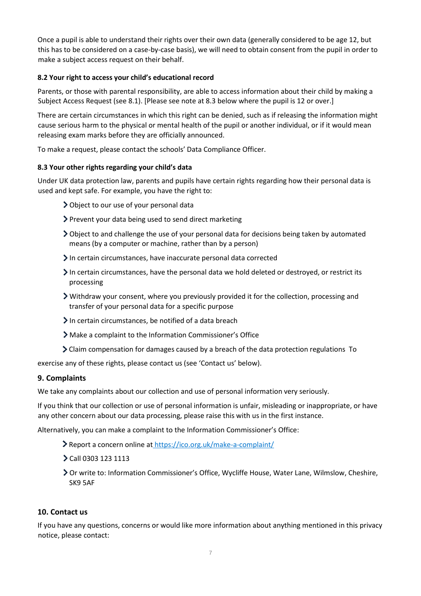Once a pupil is able to understand their rights over their own data (generally considered to be age 12, but this has to be considered on a case-by-case basis), we will need to obtain consent from the pupil in order to make a subject access request on their behalf.

## **8.2 Your right to access your child's educational record**

Parents, or those with parental responsibility, are able to access information about their child by making a Subject Access Request (see 8.1). [Please see note at 8.3 below where the pupil is 12 or over.]

There are certain circumstances in which this right can be denied, such as if releasing the information might cause serious harm to the physical or mental health of the pupil or another individual, or if it would mean releasing exam marks before they are officially announced.

To make a request, please contact the schools' Data Compliance Officer.

### **8.3 Your other rights regarding your child's data**

Under UK data protection law, parents and pupils have certain rights regarding how their personal data is used and kept safe. For example, you have the right to:

- Object to our use of your personal data
- Prevent your data being used to send direct marketing
- Object to and challenge the use of your personal data for decisions being taken by automated means (by a computer or machine, rather than by a person)
- In certain circumstances, have inaccurate personal data corrected
- $\geq$  In certain circumstances, have the personal data we hold deleted or destroyed, or restrict its processing
- Withdraw your consent, where you previously provided it for the collection, processing and transfer of your personal data for a specific purpose
- In certain circumstances, be notified of a data breach
- Make a complaint to the Information Commissioner's Office
- Claim compensation for damages caused by a breach of the data protection regulations To

exercise any of these rights, please contact us (see 'Contact us' below).

## **9. Complaints**

We take any complaints about our collection and use of personal information very seriously.

If you think that our collection or use of personal information is unfair, misleading or inappropriate, or have any other concern about our data processing, please raise this with us in the first instance.

Alternatively, you can make a complaint to the Information Commissioner's Office:

- Report a concern online at <https://ico.org.uk/make-a-complaint/>
- Call 0303 123 1113
- Or write to: Information Commissioner's Office, Wycliffe House, Water Lane, Wilmslow, Cheshire, SK9 5AF

#### **10. Contact us**

If you have any questions, concerns or would like more information about anything mentioned in this privacy notice, please contact: